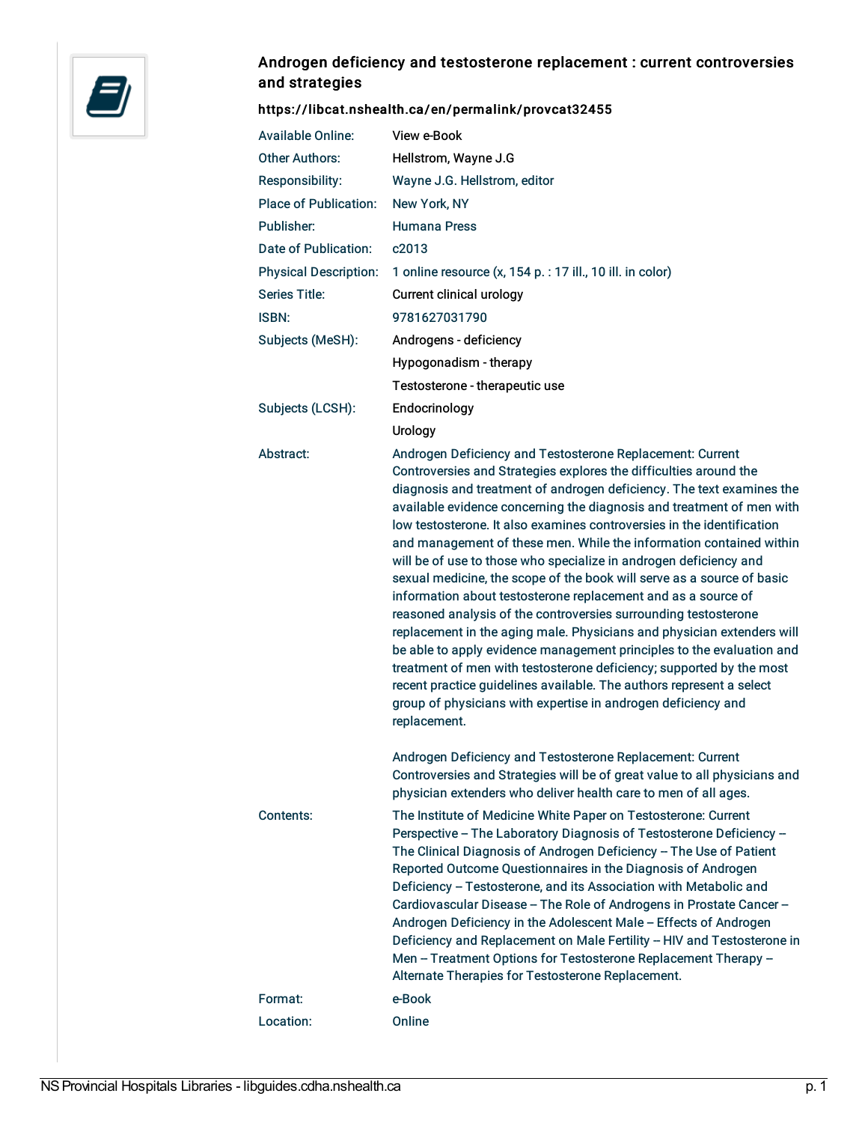

## Androgen deficiency and testosterone replacement : current controversies and strategies

## <https://libcat.nshealth.ca/en/permalink/provcat32455>

| <b>Available Online:</b>     | View e-Book                                                                                                                                                                                                                                                                                                                                                                                                                                                                                                                                                                                                                                                                                                                                                                                                                                                                                                                                                                                                                                                                                              |
|------------------------------|----------------------------------------------------------------------------------------------------------------------------------------------------------------------------------------------------------------------------------------------------------------------------------------------------------------------------------------------------------------------------------------------------------------------------------------------------------------------------------------------------------------------------------------------------------------------------------------------------------------------------------------------------------------------------------------------------------------------------------------------------------------------------------------------------------------------------------------------------------------------------------------------------------------------------------------------------------------------------------------------------------------------------------------------------------------------------------------------------------|
| <b>Other Authors:</b>        | Hellstrom, Wayne J.G                                                                                                                                                                                                                                                                                                                                                                                                                                                                                                                                                                                                                                                                                                                                                                                                                                                                                                                                                                                                                                                                                     |
| Responsibility:              | Wayne J.G. Hellstrom, editor                                                                                                                                                                                                                                                                                                                                                                                                                                                                                                                                                                                                                                                                                                                                                                                                                                                                                                                                                                                                                                                                             |
| <b>Place of Publication:</b> | New York, NY                                                                                                                                                                                                                                                                                                                                                                                                                                                                                                                                                                                                                                                                                                                                                                                                                                                                                                                                                                                                                                                                                             |
| Publisher:                   | <b>Humana Press</b>                                                                                                                                                                                                                                                                                                                                                                                                                                                                                                                                                                                                                                                                                                                                                                                                                                                                                                                                                                                                                                                                                      |
| Date of Publication:         | c2013                                                                                                                                                                                                                                                                                                                                                                                                                                                                                                                                                                                                                                                                                                                                                                                                                                                                                                                                                                                                                                                                                                    |
| <b>Physical Description:</b> | 1 online resource (x, 154 p. : 17 ill., 10 ill. in color)                                                                                                                                                                                                                                                                                                                                                                                                                                                                                                                                                                                                                                                                                                                                                                                                                                                                                                                                                                                                                                                |
| Series Title:                | Current clinical urology                                                                                                                                                                                                                                                                                                                                                                                                                                                                                                                                                                                                                                                                                                                                                                                                                                                                                                                                                                                                                                                                                 |
| ISBN:                        | 9781627031790                                                                                                                                                                                                                                                                                                                                                                                                                                                                                                                                                                                                                                                                                                                                                                                                                                                                                                                                                                                                                                                                                            |
| Subjects (MeSH):             | Androgens - deficiency                                                                                                                                                                                                                                                                                                                                                                                                                                                                                                                                                                                                                                                                                                                                                                                                                                                                                                                                                                                                                                                                                   |
|                              | Hypogonadism - therapy                                                                                                                                                                                                                                                                                                                                                                                                                                                                                                                                                                                                                                                                                                                                                                                                                                                                                                                                                                                                                                                                                   |
|                              | Testosterone - therapeutic use                                                                                                                                                                                                                                                                                                                                                                                                                                                                                                                                                                                                                                                                                                                                                                                                                                                                                                                                                                                                                                                                           |
| Subjects (LCSH):             | Endocrinology                                                                                                                                                                                                                                                                                                                                                                                                                                                                                                                                                                                                                                                                                                                                                                                                                                                                                                                                                                                                                                                                                            |
|                              | Urology                                                                                                                                                                                                                                                                                                                                                                                                                                                                                                                                                                                                                                                                                                                                                                                                                                                                                                                                                                                                                                                                                                  |
| Abstract:                    | Androgen Deficiency and Testosterone Replacement: Current<br>Controversies and Strategies explores the difficulties around the<br>diagnosis and treatment of androgen deficiency. The text examines the<br>available evidence concerning the diagnosis and treatment of men with<br>low testosterone. It also examines controversies in the identification<br>and management of these men. While the information contained within<br>will be of use to those who specialize in androgen deficiency and<br>sexual medicine, the scope of the book will serve as a source of basic<br>information about testosterone replacement and as a source of<br>reasoned analysis of the controversies surrounding testosterone<br>replacement in the aging male. Physicians and physician extenders will<br>be able to apply evidence management principles to the evaluation and<br>treatment of men with testosterone deficiency; supported by the most<br>recent practice guidelines available. The authors represent a select<br>group of physicians with expertise in androgen deficiency and<br>replacement. |
|                              | Androgen Deficiency and Testosterone Replacement: Current<br>Controversies and Strategies will be of great value to all physicians and<br>physician extenders who deliver health care to men of all ages.                                                                                                                                                                                                                                                                                                                                                                                                                                                                                                                                                                                                                                                                                                                                                                                                                                                                                                |
| Contents:                    | The Institute of Medicine White Paper on Testosterone: Current<br>Perspective - The Laboratory Diagnosis of Testosterone Deficiency -<br>The Clinical Diagnosis of Androgen Deficiency - The Use of Patient<br>Reported Outcome Questionnaires in the Diagnosis of Androgen<br>Deficiency - Testosterone, and its Association with Metabolic and<br>Cardiovascular Disease - The Role of Androgens in Prostate Cancer -<br>Androgen Deficiency in the Adolescent Male - Effects of Androgen<br>Deficiency and Replacement on Male Fertility - HIV and Testosterone in<br>Men - Treatment Options for Testosterone Replacement Therapy -<br>Alternate Therapies for Testosterone Replacement.                                                                                                                                                                                                                                                                                                                                                                                                             |
| Format:                      | e-Book                                                                                                                                                                                                                                                                                                                                                                                                                                                                                                                                                                                                                                                                                                                                                                                                                                                                                                                                                                                                                                                                                                   |
| Location:                    | Online                                                                                                                                                                                                                                                                                                                                                                                                                                                                                                                                                                                                                                                                                                                                                                                                                                                                                                                                                                                                                                                                                                   |